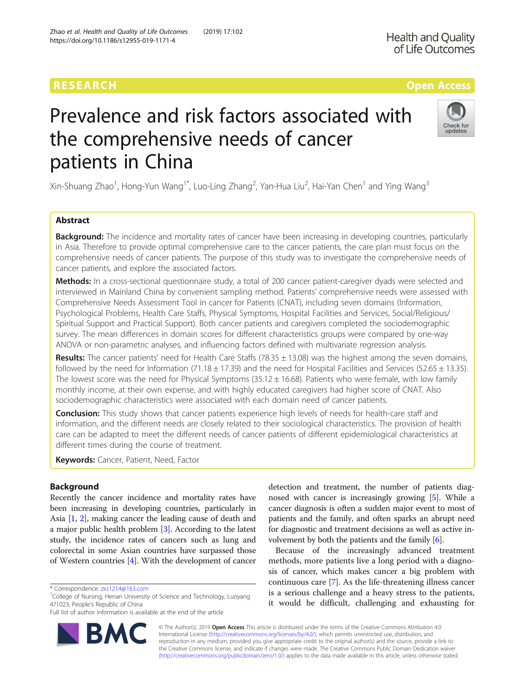## RESEARCH **RESEARCH CONSUMING THE CONSUMING TEACHER CONSUMING THE CONSUMING TEACHER CONSUMING THE CONSUMING TEACHER CONSUMING THE CONSUMING TEACHER CONSUMING THE CONSUMING TEACHER CONSUMING THE CONSUMING TEACHER CONSUMING**

# Prevalence and risk factors associated with the comprehensive needs of cancer patients in China

Xin-Shuang Zhao<sup>1</sup>, Hong-Yun Wang<sup>1\*</sup>, Luo-Ling Zhang<sup>2</sup>, Yan-Hua Liu<sup>2</sup>, Hai-Yan Chen<sup>1</sup> and Ying Wang<sup>3</sup>

### Abstract

**Background:** The incidence and mortality rates of cancer have been increasing in developing countries, particularly in Asia. Therefore to provide optimal comprehensive care to the cancer patients, the care plan must focus on the comprehensive needs of cancer patients. The purpose of this study was to investigate the comprehensive needs of cancer patients, and explore the associated factors.

Methods: In a cross-sectional questionnaire study, a total of 200 cancer patient-caregiver dyads were selected and interviewed in Mainland China by convenient sampling method. Patients' comprehensive needs were assessed with Comprehensive Needs Assessment Tool in cancer for Patients (CNAT), including seven domains (Information, Psychological Problems, Health Care Staffs, Physical Symptoms, Hospital Facilities and Services, Social/Religious/ Spiritual Support and Practical Support). Both cancer patients and caregivers completed the sociodemographic survey. The mean differences in domain scores for different characteristics groups were compared by one-way ANOVA or non-parametric analyses, and influencing factors defined with multivariate regression analysis.

Results: The cancer patients' need for Health Care Staffs (78.35  $\pm$  13.08) was the highest among the seven domains, followed by the need for Information (71.18  $\pm$  17.39) and the need for Hospital Facilities and Services (52.65  $\pm$  13.35). The lowest score was the need for Physical Symptoms  $(35.12 \pm 16.68)$ . Patients who were female, with low family monthly income, at their own expense, and with highly educated caregivers had higher score of CNAT. Also sociodemographic characteristics were associated with each domain need of cancer patients.

Conclusion: This study shows that cancer patients experience high levels of needs for health-care staff and information, and the different needs are closely related to their sociological characteristics. The provision of health care can be adapted to meet the different needs of cancer patients of different epidemiological characteristics at different times during the course of treatment.

Keywords: Cancer, Patient, Need, Factor

### Background

Recently the cancer incidence and mortality rates have been increasing in developing countries, particularly in Asia [[1](#page-9-0), [2](#page-9-0)], making cancer the leading cause of death and a major public health problem [\[3](#page-9-0)]. According to the latest study, the incidence rates of cancers such as lung and colorectal in some Asian countries have surpassed those of Western countries [\[4](#page-9-0)]. With the development of cancer

\* Correspondence: [zxs1214@163.com](mailto:zxs1214@163.com) <sup>1</sup>

<sup>1</sup>College of Nursing, Henan University of Science and Technology, Luoyang 471023, People's Republic of China

Full list of author information is available at the end of the article

© The Author(s). 2019 Open Access This article is distributed under the terms of the Creative Commons Attribution 4.0 International License [\(http://creativecommons.org/licenses/by/4.0/](http://creativecommons.org/licenses/by/4.0/)), which permits unrestricted use, distribution, and reproduction in any medium, provided you give appropriate credit to the original author(s) and the source, provide a link to the Creative Commons license, and indicate if changes were made. The Creative Commons Public Domain Dedication waiver [\(http://creativecommons.org/publicdomain/zero/1.0/](http://creativecommons.org/publicdomain/zero/1.0/)) applies to the data made available in this article, unless otherwise stated.

detection and treatment, the number of patients diagnosed with cancer is increasingly growing [\[5](#page-9-0)]. While a cancer diagnosis is often a sudden major event to most of patients and the family, and often sparks an abrupt need for diagnostic and treatment decisions as well as active involvement by both the patients and the family [[6\]](#page-9-0).

Because of the increasingly advanced treatment methods, more patients live a long period with a diagnosis of cancer, which makes cancer a big problem with continuous care [\[7\]](#page-9-0). As the life-threatening illness cancer is a serious challenge and a heavy stress to the patients, it would be difficult, challenging and exhausting for



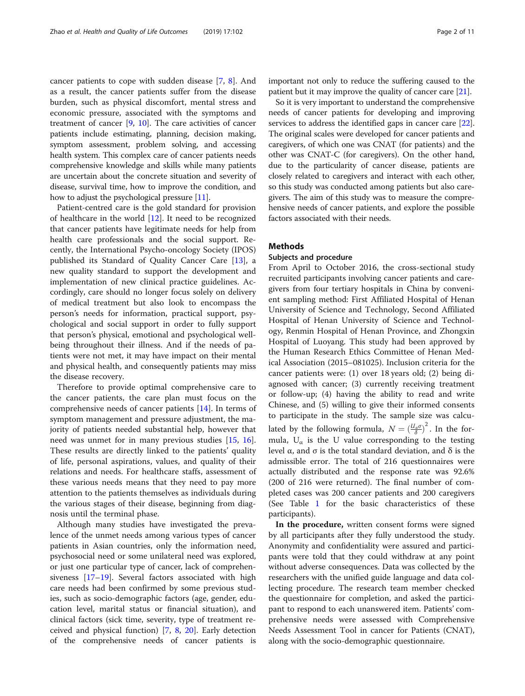cancer patients to cope with sudden disease [\[7](#page-9-0), [8\]](#page-9-0). And as a result, the cancer patients suffer from the disease burden, such as physical discomfort, mental stress and economic pressure, associated with the symptoms and treatment of cancer  $[9, 10]$  $[9, 10]$  $[9, 10]$  $[9, 10]$  $[9, 10]$ . The care activities of cancer patients include estimating, planning, decision making, symptom assessment, problem solving, and accessing health system. This complex care of cancer patients needs comprehensive knowledge and skills while many patients are uncertain about the concrete situation and severity of disease, survival time, how to improve the condition, and how to adjust the psychological pressure [\[11\]](#page-9-0).

Patient-centred care is the gold standard for provision of healthcare in the world [[12\]](#page-9-0). It need to be recognized that cancer patients have legitimate needs for help from health care professionals and the social support. Recently, the International Psycho-oncology Society (IPOS) published its Standard of Quality Cancer Care [\[13\]](#page-9-0), a new quality standard to support the development and implementation of new clinical practice guidelines. Accordingly, care should no longer focus solely on delivery of medical treatment but also look to encompass the person's needs for information, practical support, psychological and social support in order to fully support that person's physical, emotional and psychological wellbeing throughout their illness. And if the needs of patients were not met, it may have impact on their mental and physical health, and consequently patients may miss the disease recovery.

Therefore to provide optimal comprehensive care to the cancer patients, the care plan must focus on the comprehensive needs of cancer patients [\[14](#page-9-0)]. In terms of symptom management and pressure adjustment, the majority of patients needed substantial help, however that need was unmet for in many previous studies [\[15](#page-9-0), [16](#page-9-0)]. These results are directly linked to the patients' quality of life, personal aspirations, values, and quality of their relations and needs. For healthcare staffs, assessment of these various needs means that they need to pay more attention to the patients themselves as individuals during the various stages of their disease, beginning from diagnosis until the terminal phase.

Although many studies have investigated the prevalence of the unmet needs among various types of cancer patients in Asian countries, only the information need, psychosocial need or some unilateral need was explored, or just one particular type of cancer, lack of comprehensiveness [\[17](#page-9-0)–[19\]](#page-9-0). Several factors associated with high care needs had been confirmed by some previous studies, such as socio-demographic factors (age, gender, education level, marital status or financial situation), and clinical factors (sick time, severity, type of treatment received and physical function) [\[7](#page-9-0), [8](#page-9-0), [20\]](#page-9-0). Early detection of the comprehensive needs of cancer patients is important not only to reduce the suffering caused to the patient but it may improve the quality of cancer care [\[21](#page-9-0)].

So it is very important to understand the comprehensive needs of cancer patients for developing and improving services to address the identified gaps in cancer care [[22](#page-9-0)]. The original scales were developed for cancer patients and caregivers, of which one was CNAT (for patients) and the other was CNAT-C (for caregivers). On the other hand, due to the particularity of cancer disease, patients are closely related to caregivers and interact with each other, so this study was conducted among patients but also caregivers. The aim of this study was to measure the comprehensive needs of cancer patients, and explore the possible factors associated with their needs.

#### **Methods**

#### Subjects and procedure

From April to October 2016, the cross-sectional study recruited participants involving cancer patients and caregivers from four tertiary hospitals in China by convenient sampling method: First Affiliated Hospital of Henan University of Science and Technology, Second Affiliated Hospital of Henan University of Science and Technology, Renmin Hospital of Henan Province, and Zhongxin Hospital of Luoyang. This study had been approved by the Human Research Ethics Committee of Henan Medical Association (2015–081025). Inclusion criteria for the cancer patients were: (1) over 18 years old; (2) being diagnosed with cancer; (3) currently receiving treatment or follow-up; (4) having the ability to read and write Chinese, and (5) willing to give their informed consents to participate in the study. The sample size was calculated by the following formula,  $N = \left(\frac{U_a \sigma}{\delta}\right)^2$ . In the formula,  $U_{\alpha}$  is the U value corresponding to the testing level α, and σ is the total standard deviation, and δ is the admissible error. The total of 216 questionnaires were actually distributed and the response rate was 92.6% (200 of 216 were returned). The final number of completed cases was 200 cancer patients and 200 caregivers (See Table [1](#page-2-0) for the basic characteristics of these participants).

In the procedure, written consent forms were signed by all participants after they fully understood the study. Anonymity and confidentiality were assured and participants were told that they could withdraw at any point without adverse consequences. Data was collected by the researchers with the unified guide language and data collecting procedure. The research team member checked the questionnaire for completion, and asked the participant to respond to each unanswered item. Patients' comprehensive needs were assessed with Comprehensive Needs Assessment Tool in cancer for Patients (CNAT), along with the socio-demographic questionnaire.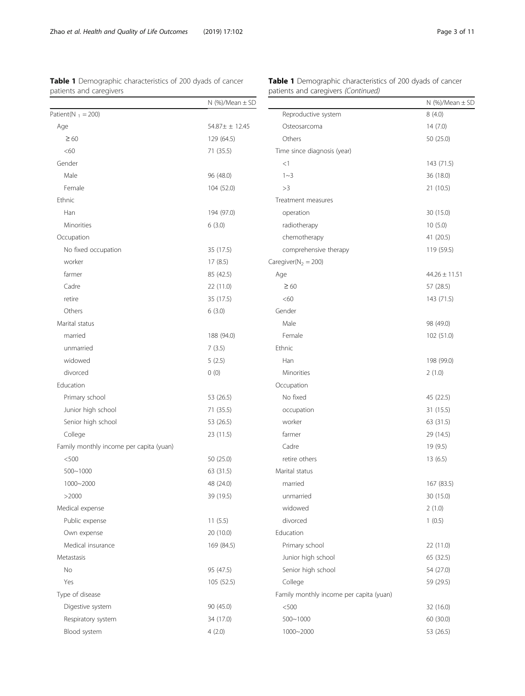<span id="page-2-0"></span>Zhao et al. Health and Quality of Life Outcomes (2019) 17:102 Page 3 of 11

Table 1 Demographic characteristics of 200 dyads of cancer

Table 1 Demographic characteristics of 200 dyads of cancer patients and caregivers (Continued)

| patients and caregivers                 |                       | patients and caregivers (Continued)     |
|-----------------------------------------|-----------------------|-----------------------------------------|
|                                         | $N$ (%)/Mean $\pm$ SD |                                         |
| Patient( $N_1 = 200$ )                  |                       | Reproductive system                     |
| Age                                     | $54.87 \pm 12.45$     | Osteosarcoma                            |
| $\geq 60$                               | 129 (64.5)            | Others                                  |
| <60                                     | 71 (35.5)             | Time since diagnosis (year)             |
| Gender                                  |                       | <1                                      |
| Male                                    | 96 (48.0)             | $1 - 3$                                 |
| Female                                  | 104 (52.0)            | >3                                      |
| Ethnic                                  |                       | Treatment measures                      |
| Han                                     | 194 (97.0)            | operation                               |
| Minorities                              | 6(3.0)                | radiotherapy                            |
| Occupation                              |                       | chemotherapy                            |
| No fixed occupation                     | 35 (17.5)             | comprehensive therapy                   |
| worker                                  | 17(8.5)               | Caregiver( $N_2 = 200$ )                |
| farmer                                  | 85 (42.5)             | Age                                     |
| Cadre                                   | 22 (11.0)             | $\geq 60$                               |
| retire                                  | 35 (17.5)             | <60                                     |
| Others                                  | 6(3.0)                | Gender                                  |
| Marital status                          |                       | Male                                    |
| married                                 | 188 (94.0)            | Female                                  |
| unmarried                               | 7(3.5)                | Ethnic                                  |
| widowed                                 | 5(2.5)                | Han                                     |
| divorced                                | 0(0)                  | Minorities                              |
| Education                               |                       | Occupation                              |
| Primary school                          | 53 (26.5)             | No fixed                                |
| Junior high school                      | 71 (35.5)             | occupation                              |
| Senior high school                      | 53 (26.5)             | worker                                  |
| College                                 | 23 (11.5)             | farmer                                  |
| Family monthly income per capita (yuan) |                       | Cadre                                   |
| < 500                                   | 50 (25.0)             | retire others                           |
| $500 - 1000$                            | 63 (31.5)             | Marital status                          |
| 1000~2000                               | 48 (24.0)             | married                                 |
| >2000                                   | 39 (19.5)             | unmarried                               |
| Medical expense                         |                       | widowed                                 |
| Public expense                          | 11(5.5)               | divorced                                |
| Own expense                             | 20 (10.0)             | Education                               |
| Medical insurance                       | 169 (84.5)            | Primary school                          |
| Metastasis                              |                       | Junior high school                      |
| No                                      | 95 (47.5)             | Senior high school                      |
| Yes                                     | 105 (52.5)            | College                                 |
| Type of disease                         |                       | Family monthly income per capita (yuan) |
| Digestive system                        | 90 (45.0)             | < 500                                   |
| Respiratory system                      | 34 (17.0)             | $500 - 1000$                            |
| Blood system                            | 4(2.0)                | 1000~2000                               |

N (%)/Mean ± SD

 $8(4.0)$  $14 (7.0)$ 50 (25.0)

<1 143 (71.5) 36 (18.0) >3 21 (10.5)

30 (15.0) 10 (5.0) 41 (20.5) 119 (59.5)

 $44.26 \pm 11.51$ 57 (28.5) 143 (71.5)

98 (49.0) 102 (51.0)

198 (99.0)  $2(1.0)$ 

45 (22.5) 31 (15.5) 63 (31.5) 29 (14.5) 19 (9.5) 13 (6.5)

167 (83.5) 30 (15.0)  $2(1.0)$  $1 (0.5)$ 

22 (11.0) 65 (32.5) 54 (27.0) 59 (29.5)

32 (16.0) 60 (30.0) 53 (26.5)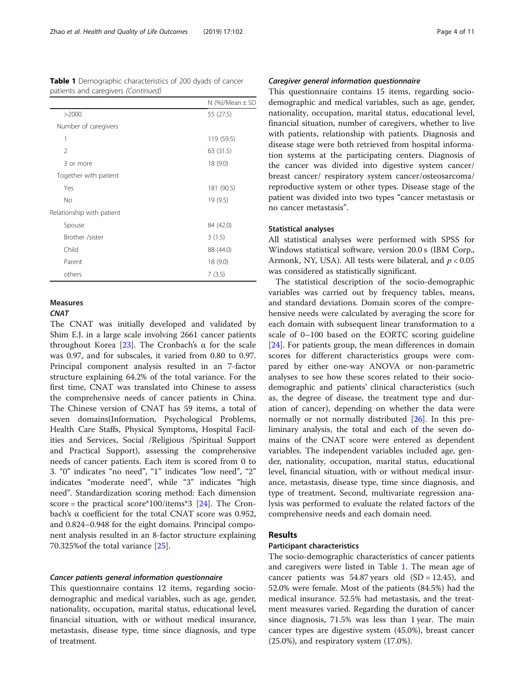|                                     | <b>Table 1</b> Demographic characteristics of 200 dyads of cancer |  |  |
|-------------------------------------|-------------------------------------------------------------------|--|--|
| patients and caregivers (Continued) |                                                                   |  |  |

|                           | $N$ (%)/Mean $\pm$ SD |
|---------------------------|-----------------------|
| >2000                     | 55 (27.5)             |
| Number of caregivers      |                       |
| 1                         | 119 (59.5)            |
| $\overline{2}$            | 63 (31.5)             |
| 3 or more                 | 18 (9.0)              |
| Together with patient     |                       |
| Yes                       | 181 (90.5)            |
| <b>No</b>                 | 19 (9.5)              |
| Relationship with patient |                       |
| Spouse                    | 84 (42.0)             |
| Brother /sister           | 3(1.5)                |
| Child                     | 88 (44.0)             |
| Parent                    | 18 (9.0)              |
| others                    | 7(3.5)                |

### Measures

### **CNAT**

CNAT The CNAT was initially developed and validated by Shim E.J. in a large scale involving 2661 cancer patients throughout Korea [[23\]](#page-9-0). The Cronbach's α for the scale was 0.97, and for subscales, it varied from 0.80 to 0.97. Principal component analysis resulted in an 7-factor structure explaining 64.2% of the total variance. For the first time, CNAT was translated into Chinese to assess the comprehensive needs of cancer patients in China. The Chinese version of CNAT has 59 items, a total of seven domains(Information, Psychological Problems, Health Care Staffs, Physical Symptoms, Hospital Facilities and Services, Social /Religious /Spiritual Support and Practical Support), assessing the comprehensive needs of cancer patients. Each item is scored from 0 to 3. "0" indicates "no need", "1" indicates "low need", "2" indicates "moderate need", while "3" indicates "high need". Standardization scoring method: Each dimension score = the practical score\*100/items\*3  $[24]$  $[24]$ . The Cronbach's α coefficient for the total CNAT score was 0.952, and 0.824–0.948 for the eight domains. Principal component analysis resulted in an 8-factor structure explaining 70.325%of the total variance [\[25](#page-9-0)].

This questionnaire contains 12 items, regarding sociodemographic and medical variables, such as age, gender, nationality, occupation, marital status, educational level, financial situation, with or without medical insurance, metastasis, disease type, time since diagnosis, and type of treatment.

This questionnaire contains 15 items, regarding sociodemographic and medical variables, such as age, gender, nationality, occupation, marital status, educational level, financial situation, number of caregivers, whether to live with patients, relationship with patients. Diagnosis and disease stage were both retrieved from hospital information systems at the participating centers. Diagnosis of the cancer was divided into digestive system cancer/ breast cancer/ respiratory system cancer/osteosarcoma/ reproductive system or other types. Disease stage of the patient was divided into two types "cancer metastasis or no cancer metastasis".

#### Statistical analyses

All statistical analyses were performed with SPSS for Windows statistical software, version 20.0 s (IBM Corp., Armonk, NY, USA). All tests were bilateral, and  $p < 0.05$ was considered as statistically significant.

The statistical description of the socio-demographic variables was carried out by frequency tables, means, and standard deviations. Domain scores of the comprehensive needs were calculated by averaging the score for each domain with subsequent linear transformation to a scale of 0–100 based on the EORTC scoring guideline [[24\]](#page-9-0). For patients group, the mean differences in domain scores for different characteristics groups were compared by either one-way ANOVA or non-parametric analyses to see how these scores related to their sociodemographic and patients' clinical characteristics (such as, the degree of disease, the treatment type and duration of cancer), depending on whether the data were normally or not normally distributed [[26](#page-9-0)]. In this preliminary analysis, the total and each of the seven domains of the CNAT score were entered as dependent variables. The independent variables included age, gender, nationality, occupation, marital status, educational level, financial situation, with or without medical insurance, metastasis, disease type, time since diagnosis, and type of treatment. Second, multivariate regression analysis was performed to evaluate the related factors of the comprehensive needs and each domain need.

#### Results

#### Participant characteristics

The socio-demographic characteristics of cancer patients and caregivers were listed in Table [1](#page-2-0). The mean age of cancer patients was  $54.87$  years old  $(SD = 12.45)$ , and 52.0% were female. Most of the patients (84.5%) had the medical insurance. 52.5% had metastasis, and the treatment measures varied. Regarding the duration of cancer since diagnosis, 71.5% was less than 1 year. The main cancer types are digestive system (45.0%), breast cancer (25.0%), and respiratory system (17.0%).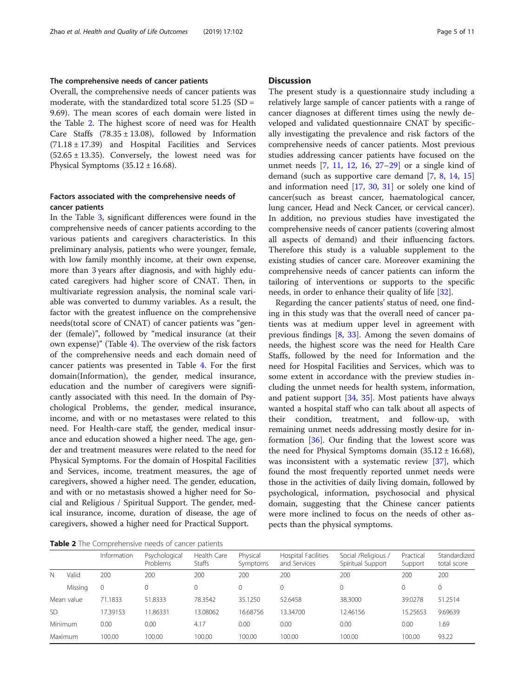#### The comprehensive needs of cancer patients

Overall, the comprehensive needs of cancer patients was moderate, with the standardized total score  $51.25$  (SD = 9.69). The mean scores of each domain were listed in the Table 2. The highest score of need was for Health Care Staffs  $(78.35 \pm 13.08)$ , followed by Information (71.18 ± 17.39) and Hospital Facilities and Services  $(52.65 \pm 13.35)$ . Conversely, the lowest need was for Physical Symptoms  $(35.12 \pm 16.68)$ .

### Factors associated with the comprehensive needs of cancer patients

In the Table [3,](#page-5-0) significant differences were found in the comprehensive needs of cancer patients according to the various patients and caregivers characteristics. In this preliminary analysis, patients who were younger, female, with low family monthly income, at their own expense, more than 3 years after diagnosis, and with highly educated caregivers had higher score of CNAT. Then, in multivariate regression analysis, the nominal scale variable was converted to dummy variables. As a result, the factor with the greatest influence on the comprehensive needs(total score of CNAT) of cancer patients was "gender (female)", followed by "medical insurance (at their own expense)" (Table [4](#page-7-0)). The overview of the risk factors of the comprehensive needs and each domain need of cancer patients was presented in Table [4](#page-7-0). For the first domain(Information), the gender, medical insurance, education and the number of caregivers were significantly associated with this need. In the domain of Psychological Problems, the gender, medical insurance, income, and with or no metastases were related to this need. For Health-care staff, the gender, medical insurance and education showed a higher need. The age, gender and treatment measures were related to the need for Physical Symptoms. For the domain of Hospital Facilities and Services, income, treatment measures, the age of caregivers, showed a higher need. The gender, education, and with or no metastasis showed a higher need for Social and Religious / Spiritual Support. The gender, medical insurance, income, duration of disease, the age of caregivers, showed a higher need for Practical Support.

#### **Discussion**

The present study is a questionnaire study including a relatively large sample of cancer patients with a range of cancer diagnoses at different times using the newly developed and validated questionnaire CNAT by specifically investigating the prevalence and risk factors of the comprehensive needs of cancer patients. Most previous studies addressing cancer patients have focused on the unmet needs [\[7,](#page-9-0) [11](#page-9-0), [12](#page-9-0), [16,](#page-9-0) [27](#page-9-0)–[29](#page-9-0)] or a single kind of demand (such as supportive care demand [[7](#page-9-0), [8,](#page-9-0) [14](#page-9-0), [15](#page-9-0)] and information need [\[17](#page-9-0), [30,](#page-9-0) [31\]](#page-9-0) or solely one kind of cancer(such as breast cancer, haematological cancer, lung cancer, Head and Neck Cancer, or cervical cancer). In addition, no previous studies have investigated the comprehensive needs of cancer patients (covering almost all aspects of demand) and their influencing factors. Therefore this study is a valuable supplement to the existing studies of cancer care. Moreover examining the comprehensive needs of cancer patients can inform the tailoring of interventions or supports to the specific needs, in order to enhance their quality of life [\[32\]](#page-9-0).

Regarding the cancer patients' status of need, one finding in this study was that the overall need of cancer patients was at medium upper level in agreement with previous findings  $[8, 33]$  $[8, 33]$  $[8, 33]$  $[8, 33]$ . Among the seven domains of needs, the highest score was the need for Health Care Staffs, followed by the need for Information and the need for Hospital Facilities and Services, which was to some extent in accordance with the preview studies including the unmet needs for health system, information, and patient support [\[34](#page-9-0), [35\]](#page-9-0). Most patients have always wanted a hospital staff who can talk about all aspects of their condition, treatment, and follow-up, with remaining unmet needs addressing mostly desire for information [\[36](#page-9-0)]. Our finding that the lowest score was the need for Physical Symptoms domain  $(35.12 \pm 16.68)$ , was inconsistent with a systematic review [[37\]](#page-9-0), which found the most frequently reported unmet needs were those in the activities of daily living domain, followed by psychological, information, psychosocial and physical domain, suggesting that the Chinese cancer patients were more inclined to focus on the needs of other aspects than the physical symptoms.

Table 2 The Comprehensive needs of cancer patients

|                |            | Information | Psychological<br>Problems | Health Care<br><b>Staffs</b> | Physical<br>Symptoms | Hospital Facilities<br>and Services | Social /Religious /<br>Spiritual Support | Practical<br>Support | Standardized<br>total score |
|----------------|------------|-------------|---------------------------|------------------------------|----------------------|-------------------------------------|------------------------------------------|----------------------|-----------------------------|
| N              | Valid      | 200         | 200                       | 200                          | 200                  | 200                                 | 200                                      | 200                  | 200                         |
|                | Missing    | $\mathbf 0$ | 0                         | $\Omega$                     |                      | $\Omega$                            | $\Omega$                                 | 0                    | $\mathbf{0}$                |
|                | Mean value | 71.1833     | 51.8333                   | 78.3542                      | 35.1250              | 52.6458                             | 38,3000                                  | 39.0278              | 51.2514                     |
| <b>SD</b>      |            | 17.39153    | 11.86331                  | 13.08062                     | 16.68756             | 13.34700                            | 12.46156                                 | 15.25653             | 9.69639                     |
| <b>Minimum</b> |            | 0.00        | 0.00                      | 4.17                         | 0.00                 | 0.00                                | 0.00                                     | 0.00                 | .69                         |
|                | Maximum    | 100.00      | 100.00                    | 100.00                       | 100.00               | 100.00                              | 100.00                                   | 100.00               | 93.22                       |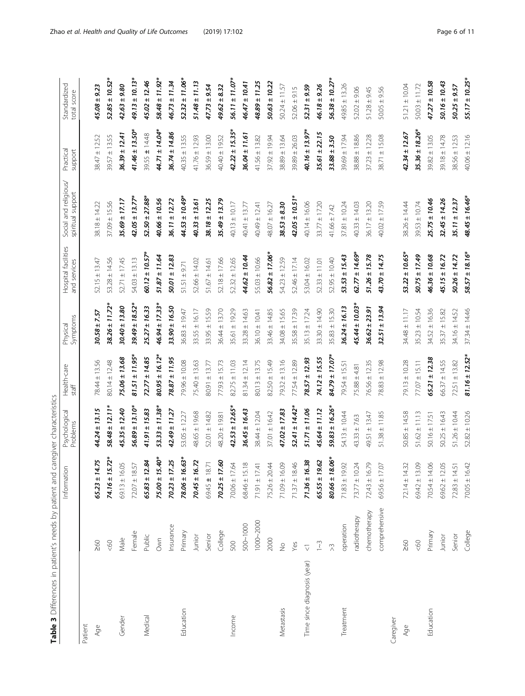<span id="page-5-0"></span>

| Table 3 Differences in patient's needs by patient and |                          |                                              | caregiver characteristics |                      |                                |                                     |                                            |                      |                                |
|-------------------------------------------------------|--------------------------|----------------------------------------------|---------------------------|----------------------|--------------------------------|-------------------------------------|--------------------------------------------|----------------------|--------------------------------|
|                                                       |                          | Information                                  | Psychological<br>Problems | Health-care<br>staff | Physical<br>Symptoms           | Hospital facilities<br>and services | Social and religious/<br>spiritual support | Practical<br>support | Standardized<br>total score    |
| Patient                                               |                          |                                              |                           |                      |                                |                                     |                                            |                      |                                |
| Age                                                   | $\geq 60$                | $65.23 \pm 14.75$                            | $44.24 \pm 13.15$         | $78.44 \pm 13.56$    | $30.58 \pm 7.57$               | $52.15 \pm 13.47$                   | $38.18 \pm 14.22$                          | $38.47 \pm 12.52$    | $45.08 \pm 9.23$               |
|                                                       | $< 60$                   | 74.16 ± 15.72*                               | $58.48 \pm 12.11*$        | $80.14 \pm 12.48$    | $38.26 \pm 11.72$ <sup>*</sup> | $53.28 \pm 14.56$                   | $37.09 \pm 15.56$                          | $39.57 \pm 13.55$    | $52.85 \pm 10.52$ *            |
| Gender                                                | Male                     | $69.13 \pm 16.05$                            | $45.35 \pm 12.40$         | $75.06 \pm 13.68$    | $30.40 \pm 13.80$              | $52.71 \pm 17.45$                   | $35.69 \pm 17.17$                          | $36.39 \pm 12.41$    | $42.63 \pm 9.80$               |
|                                                       | Female                   | $72.07 \pm 18.57$                            | $56.89 \pm 13.10*$        | $81.51 \pm 11.95*$   | $39.49 \pm 18.52$ *            | $54.03 \pm 13.13$                   | $42.05 \pm 13.77*$                         | $41.46 \pm 13.50*$   | $49.13 \pm 10.13*$             |
| Medical                                               | Public                   | $65.83 \pm 12.84$                            | $41.91 \pm 15.83$         | $72.77 \pm 14.85$    | $25.27 \pm 16.33$              | $60.12 \pm 10.57$ *                 | $52.50 \pm 27.88$ *                        | 39.55 ± 14.48        | $45.02 \pm 12.46$              |
|                                                       | Own                      | $75.00 \pm 15.40*$                           | $53.33 \pm 11.38$ *       | $80.95 \pm 16.12*$   | $46.94 \pm 17.33$ *            | $51.87 \pm 11.64$                   | $40.66 \pm 10.56$                          | $44.71 \pm 14.04*$   | $58.48 \pm 11.92$ <sup>*</sup> |
|                                                       | Insurance                | $70.23 \pm 17.25$                            | $42.49 \pm 11.27$         | $78.87 \pm 11.95$    | $33.90 \pm 16.50$              | $50.01 \pm 12.83$                   | $36.11 \pm 12.72$                          | $36.74 \pm 14.86$    | $46.73 \pm 11.34$              |
| Education                                             | Primary                  | $78.06 \pm 16.63*$                           | $53.05 \pm 12.27$         | 79.96 ± 10.08        | $36.83 \pm 19.47$              | $51.51 \pm 9.71$                    | $44.53 \pm 10.49*$                         | $40.35 \pm 13.55$    | $52.32 \pm 11.06*$             |
|                                                       | Junior                   | $70.45 \pm 16.72$                            | 48.65 ± 19.68             | 75.40 ± 13.63        | $33.55 \pm 16.17$              | $52.66 \pm 14.02$                   | $40.33 \pm 13.61$                          | $41.76 \pm 12.93$    | $51.48 \pm 11.13$              |
|                                                       | Senior                   | 69.45 ± 18.71                                | $52.01 \pm 14.82$         | $80.91 \pm 13.77$    | $33.95 \pm 15.59$              | $51.67 \pm 14.61$                   | $38.18 \pm 12.25$                          | $36.59 \pm 13.00$    | $47.73 \pm 9.54$               |
|                                                       | College                  | $70.25 \pm 17.60$                            | 48.20 ± 19.81             | $77.93 \pm 15.73$    | $36.44 \pm 13.70$              | $52.18 \pm 17.66$                   | $35.49 \pm 13.79$                          | 40.40 ± 19.52        | $49.62 \pm 8.32$               |
| Income                                                | 500                      | $70.06 \pm 17.64$                            | $42.53 \pm 12.65$         | $82.75 \pm 11.03$    | $35.61 \pm 19.29$              | $52.32 \pm 12.65$                   | $40.13 \pm 10.17$                          | $42.22 \pm 15.35$    | $56.11 \pm 11.07$ *            |
|                                                       | 500~1000                 | $68.46 \pm 15.18$                            | $36.45 \pm 16.43$         | $81.34 \pm 12.14$    | $33.28 \pm 14.63$              | $44.62 \pm 10.44$                   | 40.41 ± 13.77                              | $36.04 \pm 11.61$    | $46.47 \pm 10.41$              |
|                                                       | $1000 - 2000$            | $71.91 \pm 17.41$                            | $38.44 \pm 12.04$         | $80.13 \pm 13.75$    | $36.10 \pm 10.41$              | $55.03 \pm 10.66$                   | $40.49 \pm 12.41$                          | $41.56 \pm 13.82$    | $48.89 \pm 11.25$              |
|                                                       | 2000                     | $75.26 \pm 20.44$                            | $37.01 \pm 16.42$         | $82.50 \pm 15.49$    | $33.46 \pm 14.85$              | $56.82 \pm 17.06*$                  | 48.07 ± 16.27                              | $37.92 \pm 19.94$    | $50.63 \pm 10.22$              |
| Metastasis                                            | $\stackrel{\circ}{\geq}$ | $71.09 \pm 16.09$                            | $47.02 \pm 17.83$         | $79.32 \pm 13.16$    | $34.08 \pm 15.65$              | $54.23 \pm 12.59$                   | $38.53 \pm 8.30$                           | $38.89 \pm 13.64$    | $50.24 \pm 11.57$              |
|                                                       | Yes                      | $71.37 \pm 18.46$                            | $52.41 \pm 14.42$ *       | 77.54 ± 12.89        | $35.58 \pm 17.39$              | $52.46 \pm 17.14$                   | $42.05 \pm 10.51*$                         | $39.89 \pm 26.03$    | $52.06 \pm 9.15$               |
| Time since diagnosis (year)                           | $\overline{\vee}$        | $71.36 \pm 16.38$                            | $51.71 \pm 11.06$         | $78.57 \pm 12.93$    | $35.13 \pm 17.24$              | 53.04 ± 16.02                       | $40.14 \pm 16.06$                          | $40.16 \pm 13.97$ *  | $52.31 \pm 9.59$               |
|                                                       | $\sim$ 3                 | $65.55 \pm 19.62$                            | $45.64 \pm 11.12$         | 74.12 ± 15.55        | $33.30 \pm 14.90$              | $52.33 \pm 11.01$                   | $33.77 \pm 17.20$                          | $35.61 \pm 22.15$    | $46.18 \pm 9.26$               |
|                                                       | $\widetilde{\wedge}$     | $80.66 \pm 18.06*$                           | $59.83 \pm 16.26*$        | $84.79 \pm 17.07*$   | $35.83 \pm 15.30$              | $52.95 \pm 10.40$                   | $41.66 \pm 7.42$                           | $33.88 \pm 3.50$     | $56.38 \pm 10.27$ *            |
| Treatment                                             | operation                | $71.83 \pm 19.92$                            | $54.13 \pm 10.44$         | 79.54 ± 15.51        | $36.24 \pm 16.13$              | $53.53 \pm 15.43$                   | $37.81 \pm 10.24$                          | $39.69 \pm 17.94$    | $49.85 \pm 13.26$              |
|                                                       | radiotherapy             | $73.77 \pm 10.24$                            | $43.33 \pm 7.63$          | $75.88 \pm 4.81$     | $45.44 \pm 10.03*$             | $62.77 \pm 14.69*$                  | $40.33 \pm 14.03$                          | $38.88 \pm 18.86$    | $52.02 \pm 9.06$               |
|                                                       | chemotherapy             | $72.43 \pm 16.79$                            | 49.51 ± 13.47             | $76.56 \pm 12.35$    | $36.62 \pm 23.91$              | $51.26 \pm 15.78$                   | $36.17 \pm 13.20$                          | $37.23 \pm 12.28$    | $51.28 \pm 9.45$               |
|                                                       | comprehensive            | $69.56 \pm 17.07$                            | $51.38 \pm 11.85$         | $78.83 \pm 12.98$    | $32.51 \pm 13.94$              | $43.70 \pm 14.75$                   | $40.02 \pm 17.59$                          | $38.71 \pm 15.08$    | $50.05 + 9.56$                 |
| Caregiver                                             |                          |                                              |                           |                      |                                |                                     |                                            |                      |                                |
| Age                                                   | $\geq 60$                | $\widetilde{\mathcal{S}}$<br>$72.14 \pm 14.$ | $50.85 \pm 14.58$         | $79.13 \pm 10.28$    | $34.48 \pm 11.17$              | $53.22 \pm 10.65$ *                 | $38.26 \pm 14.44$                          | $42.34 \pm 12.67$    | $51.21 \pm 10.04$              |
|                                                       | $<\!60$                  | $\Theta$<br>$69.42 \pm 13$                   | $51.62 \pm 11.13$         | $77.07 \pm 15.11$    | $35.23 \pm 10.54$              | $50.75 \pm 17.49$                   | $39.53 \pm 10.74$                          | $35.36 \pm 18.26*$   | $50.03 \pm 11.72$              |
| Education                                             | Primary                  | $70.54 \pm 14.06$                            | $50.16 \pm 17.51$         | $65.21 \pm 12.38$    | $34.52 \pm 16.36$              | $46.36 \pm 10.68$                   | $25.75 \pm 10.46$                          | $39.82 \pm 13.05$    | $47.27 \pm 10.58$              |
|                                                       | Junior                   | 8<br>$69.62 \pm 12$                          | $50.25 \pm 16.43$         | $66.37 \pm 14.55$    | $35.37 \pm 15.82$              | $45.15 \pm 16.72$                   | $32.45 \pm 14.26$                          | $39.18 \pm 14.78$    | $50.16 \pm 10.43$              |
|                                                       | Senior                   | $72.83 \pm 14.51$                            | $51.26 \pm 10.44$         | $72.51 \pm 13.82$    | 34.16 ± 14.52                  | $50.26 \pm 14.72$                   | $35.11 \pm 12.37$                          | $38.56 \pm 12.53$    | $50.25 \pm 9.57$               |
|                                                       | College                  | $70.05 \pm 16.42$                            | $52.82 \pm 10.26$         | $81.16 \pm 12.52*$   | $37.34 \pm 14.46$              | $58.57 \pm 18.16*$                  | $48.45 \pm 16.46*$                         | $40.06 \pm 12.16$    | $55.17 \pm 10.25$ *            |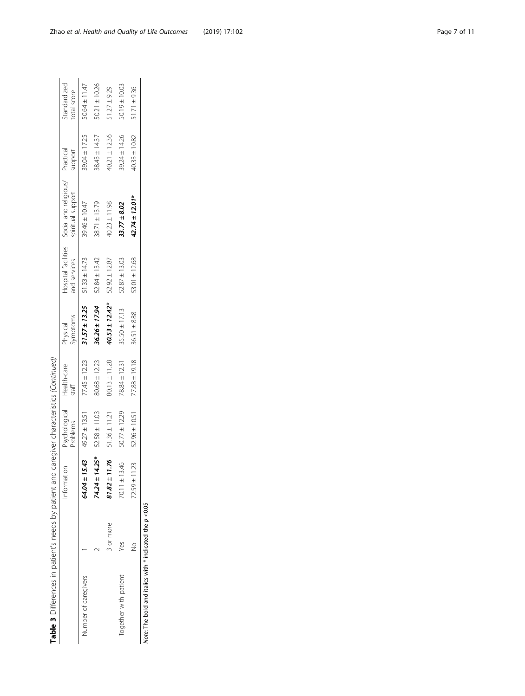| Table 3 Differences in patient's needs by patient and |           |                        | caregiver characteristics (Continued) |                      |                                     |                   |                                                                          |                   |                             |
|-------------------------------------------------------|-----------|------------------------|---------------------------------------|----------------------|-------------------------------------|-------------------|--------------------------------------------------------------------------|-------------------|-----------------------------|
|                                                       |           | Information            | Psychological<br><sup>p</sup> roblems | Health-care<br>staff | symptoms<br>Physical                | and services      | Hospital facilities Social and religious/ Practical<br>spiritual support | support           | Standardized<br>total score |
| Jumber of caregivers                                  |           | 5.43<br>$64.04 \pm 1$  | $49.27 \pm 13.51$                     | 77.45 ± 12.23        | $31.57 \pm 13.25$ 51.33 $\pm$ 14.73 |                   | 39.46 ± 10.47                                                            | 39.04 ± 17.25     | $50.64 \pm 11.47$           |
|                                                       |           | $4.25*$<br>$74.24 \pm$ | $52.58 \pm 11.03$                     | $80.68 \pm 12.23$    | $36.26 \pm 17.94$                   | $52.84 \pm 13.42$ | $38.71 \pm 13.79$                                                        | 38.43 ± 14.37     | $50.21 \pm 10.26$           |
|                                                       | 3 or more | 1.76<br>$81.82 \pm$    | $51.36 \pm 11.2$                      | $80.13 \pm 11.28$    | $40.53 \pm 12.42$ *                 | $52.92 \pm 12.87$ | $40.23 \pm 11.98$                                                        | $40.21 \pm 12.36$ | $51.27 \pm 9.29$            |
| Together with patient                                 | Yes       | $70.11 \pm 13.46$      | $50.77 \pm 12.29$                     | $78.84 \pm 12.31$    | $35.50 \pm 17.13$                   | $52.87 \pm 13.03$ | $33.77 \pm 8.02$                                                         | 39.24 ± 14.26     | $50.19 \pm 10.03$           |
|                                                       | ş         | $72.59 \pm 11.23$      | $52.96 \pm 10.51$                     | 77.88 ± 19.18        | $36.51 \pm 8.88$                    | 53.01 ± 12.68     | $42.74 \pm 12.01*$                                                       | $40.33 \pm 10.82$ | $51.71 \pm 9.36$            |

Note: The bold and italics with  $*$  indicated the  $p < 0.05$ Note: The bold and italics with  $*$  indicated the  $p < 0.05$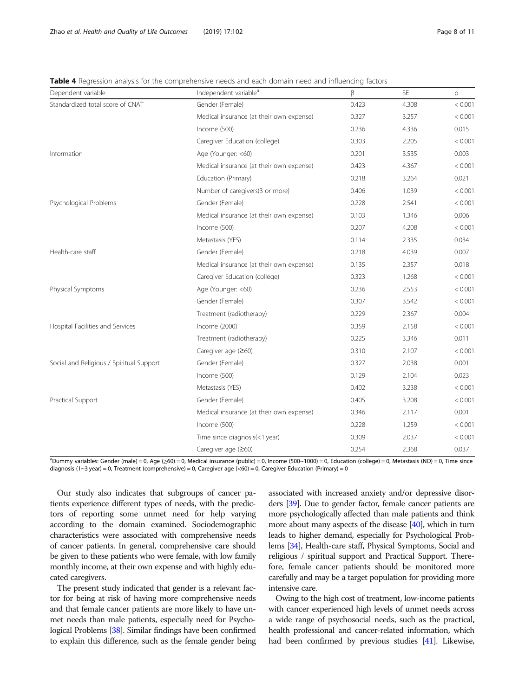<span id="page-7-0"></span>Table 4 Regression analysis for the comprehensive needs and each domain need and influencing factors

| Dependent variable                       | Independent variable <sup>a</sup>        | β     | <b>SE</b> | р       |
|------------------------------------------|------------------------------------------|-------|-----------|---------|
| Standardized total score of CNAT         | Gender (Female)                          | 0.423 | 4.308     | < 0.001 |
|                                          | Medical insurance (at their own expense) | 0.327 | 3.257     | < 0.001 |
|                                          | Income (500)                             | 0.236 | 4.336     | 0.015   |
|                                          | Caregiver Education (college)            | 0.303 | 2.205     | < 0.001 |
| Information                              | Age (Younger: <60)                       | 0.201 | 3.535     | 0.003   |
|                                          | Medical insurance (at their own expense) | 0.423 | 4.367     | < 0.001 |
|                                          | Education (Primary)                      | 0.218 | 3.264     | 0.021   |
|                                          | Number of caregivers(3 or more)          | 0.406 | 1.039     | < 0.001 |
| Psychological Problems                   | Gender (Female)                          | 0.228 | 2.541     | < 0.001 |
|                                          | Medical insurance (at their own expense) | 0.103 | 1.346     | 0.006   |
|                                          | Income (500)                             | 0.207 | 4.208     | < 0.001 |
|                                          | Metastasis (YES)                         | 0.114 | 2.335     | 0.034   |
| Health-care staff                        | Gender (Female)                          | 0.218 | 4.039     | 0.007   |
|                                          | Medical insurance (at their own expense) | 0.135 | 2.357     | 0.018   |
|                                          | Caregiver Education (college)            | 0.323 | 1.268     | < 0.001 |
| Physical Symptoms                        | Age (Younger: <60)                       | 0.236 | 2.553     | < 0.001 |
|                                          | Gender (Female)                          | 0.307 | 3.542     | < 0.001 |
|                                          | Treatment (radiotherapy)                 | 0.229 | 2.367     | 0.004   |
| Hospital Facilities and Services         | Income (2000)                            | 0.359 | 2.158     | < 0.001 |
|                                          | Treatment (radiotherapy)                 | 0.225 | 3.346     | 0.011   |
|                                          | Caregiver age (≥60)                      | 0.310 | 2.107     | < 0.001 |
| Social and Religious / Spiritual Support | Gender (Female)                          | 0.327 | 2.038     | 0.001   |
|                                          | Income (500)                             | 0.129 | 2.104     | 0.023   |
|                                          | Metastasis (YES)                         | 0.402 | 3.238     | < 0.001 |
| Practical Support                        | Gender (Female)                          | 0.405 | 3.208     | < 0.001 |
|                                          | Medical insurance (at their own expense) | 0.346 | 2.117     | 0.001   |
|                                          | Income (500)                             | 0.228 | 1.259     | < 0.001 |
|                                          | Time since diagnosis(<1 year)            | 0.309 | 2.037     | < 0.001 |
|                                          | Caregiver age (≥60)                      | 0.254 | 2.368     | 0.037   |

a Dummy variables: Gender (male) = 0, Age (≥60) = 0, Medical insurance (public) = 0, Income (500~1000) = 0, Education (college) = 0, Metastasis (NO) = 0, Time since diagnosis (1~3 year) = 0, Treatment (comprehensive) = 0, Caregiver age (<60) = 0, Caregiver Education (Primary) = 0

Our study also indicates that subgroups of cancer patients experience different types of needs, with the predictors of reporting some unmet need for help varying according to the domain examined. Sociodemographic characteristics were associated with comprehensive needs of cancer patients. In general, comprehensive care should be given to these patients who were female, with low family monthly income, at their own expense and with highly educated caregivers.

The present study indicated that gender is a relevant factor for being at risk of having more comprehensive needs and that female cancer patients are more likely to have unmet needs than male patients, especially need for Psychological Problems [\[38](#page-9-0)]. Similar findings have been confirmed to explain this difference, such as the female gender being

associated with increased anxiety and/or depressive disorders [[39\]](#page-9-0). Due to gender factor, female cancer patients are more psychologically affected than male patients and think more about many aspects of the disease [\[40\]](#page-9-0), which in turn leads to higher demand, especially for Psychological Problems [\[34](#page-9-0)], Health-care staff, Physical Symptoms, Social and religious / spiritual support and Practical Support. Therefore, female cancer patients should be monitored more carefully and may be a target population for providing more intensive care.

Owing to the high cost of treatment, low-income patients with cancer experienced high levels of unmet needs across a wide range of psychosocial needs, such as the practical, health professional and cancer-related information, which had been confirmed by previous studies [\[41\]](#page-9-0). Likewise,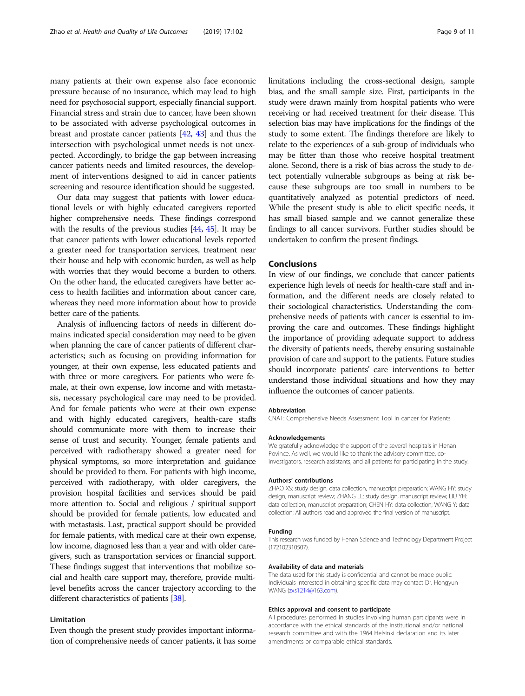many patients at their own expense also face economic pressure because of no insurance, which may lead to high need for psychosocial support, especially financial support. Financial stress and strain due to cancer, have been shown to be associated with adverse psychological outcomes in breast and prostate cancer patients [[42](#page-9-0), [43\]](#page-10-0) and thus the intersection with psychological unmet needs is not unexpected. Accordingly, to bridge the gap between increasing cancer patients needs and limited resources, the development of interventions designed to aid in cancer patients screening and resource identification should be suggested.

Our data may suggest that patients with lower educational levels or with highly educated caregivers reported higher comprehensive needs. These findings correspond with the results of the previous studies [\[44](#page-10-0), [45](#page-10-0)]. It may be that cancer patients with lower educational levels reported a greater need for transportation services, treatment near their house and help with economic burden, as well as help with worries that they would become a burden to others. On the other hand, the educated caregivers have better access to health facilities and information about cancer care, whereas they need more information about how to provide better care of the patients.

Analysis of influencing factors of needs in different domains indicated special consideration may need to be given when planning the care of cancer patients of different characteristics; such as focusing on providing information for younger, at their own expense, less educated patients and with three or more caregivers. For patients who were female, at their own expense, low income and with metastasis, necessary psychological care may need to be provided. And for female patients who were at their own expense and with highly educated caregivers, health-care staffs should communicate more with them to increase their sense of trust and security. Younger, female patients and perceived with radiotherapy showed a greater need for physical symptoms, so more interpretation and guidance should be provided to them. For patients with high income, perceived with radiotherapy, with older caregivers, the provision hospital facilities and services should be paid more attention to. Social and religious / spiritual support should be provided for female patients, low educated and with metastasis. Last, practical support should be provided for female patients, with medical care at their own expense, low income, diagnosed less than a year and with older caregivers, such as transportation services or financial support. These findings suggest that interventions that mobilize social and health care support may, therefore, provide multilevel benefits across the cancer trajectory according to the different characteristics of patients [[38](#page-9-0)].

#### Limitation

Even though the present study provides important information of comprehensive needs of cancer patients, it has some limitations including the cross-sectional design, sample bias, and the small sample size. First, participants in the study were drawn mainly from hospital patients who were receiving or had received treatment for their disease. This selection bias may have implications for the findings of the study to some extent. The findings therefore are likely to relate to the experiences of a sub-group of individuals who may be fitter than those who receive hospital treatment alone. Second, there is a risk of bias across the study to detect potentially vulnerable subgroups as being at risk because these subgroups are too small in numbers to be quantitatively analyzed as potential predictors of need. While the present study is able to elicit specific needs, it has small biased sample and we cannot generalize these findings to all cancer survivors. Further studies should be undertaken to confirm the present findings.

#### Conclusions

In view of our findings, we conclude that cancer patients experience high levels of needs for health-care staff and information, and the different needs are closely related to their sociological characteristics. Understanding the comprehensive needs of patients with cancer is essential to improving the care and outcomes. These findings highlight the importance of providing adequate support to address the diversity of patients needs, thereby ensuring sustainable provision of care and support to the patients. Future studies should incorporate patients' care interventions to better understand those individual situations and how they may influence the outcomes of cancer patients.

#### Abbreviation

CNAT: Comprehensive Needs Assessment Tool in cancer for Patients

#### Acknowledgements

We gratefully acknowledge the support of the several hospitals in Henan Povince. As well, we would like to thank the advisory committee, coinvestigators, research assistants, and all patients for participating in the study.

#### Authors' contributions

ZHAO XS: study design, data collection, manuscript preparation; WANG HY: study design, manuscript review; ZHANG LL: study design, manuscript review; LIU YH: data collection, manuscript preparation; CHEN HY: data collection; WANG Y: data collection; All authors read and approved the final version of manuscript.

#### Funding

This research was funded by Henan Science and Technology Department Project (172102310507).

#### Availability of data and materials

The data used for this study is confidential and cannot be made public. Individuals interested in obtaining specific data may contact Dr. Hongyun WANG [\(zxs1214@163.com\)](mailto:zxs1214@163.com).

#### Ethics approval and consent to participate

All procedures performed in studies involving human participants were in accordance with the ethical standards of the institutional and/or national research committee and with the 1964 Helsinki declaration and its later amendments or comparable ethical standards.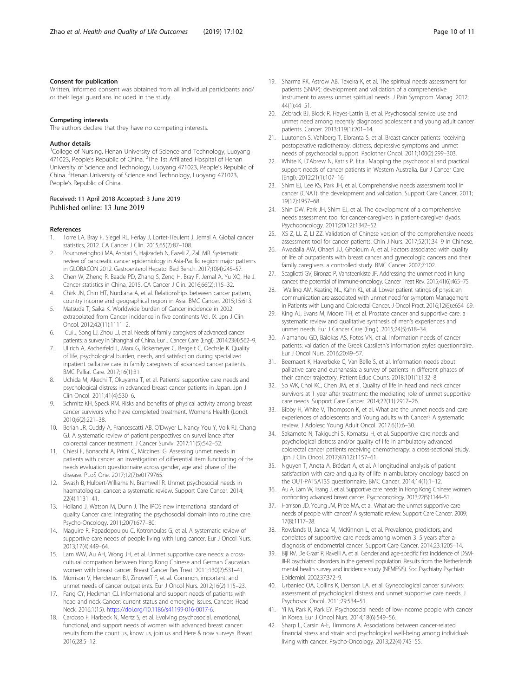#### <span id="page-9-0"></span>Consent for publication

Written, informed consent was obtained from all individual participants and/ or their legal guardians included in the study.

#### Competing interests

The authors declare that they have no competing interests.

#### Author details

<sup>1</sup>College of Nursing, Henan University of Science and Technology, Luoyang 471023, People's Republic of China. <sup>2</sup>The 1st Affiliated Hospital of Henan University of Science and Technology, Luoyang 471023, People's Republic of China. <sup>3</sup> Henan University of Science and Technology, Luoyang 471023, People's Republic of China.

# Received: 11 April 2018 Accepted: 3 June 2019<br>Published online: 13 June 2019

#### References

- 1. Torre LA, Bray F, Siegel RL, Ferlay J, Lortet-Tieulent J, Jemal A. Global cancer statistics, 2012. CA Cancer J Clin. 2015;65(2):87–108.
- 2. Pourhoseingholi MA, Ashtari S, Hajizadeh N, Fazeli Z, Zali MR. Systematic review of pancreatic cancer epidemiology in Asia-Pacific region: major patterns in GLOBACON 2012. Gastroenterol Hepatol Bed Bench. 2017;10(4):245–57.
- 3. Chen W, Zheng R, Baade PD, Zhang S, Zeng H, Bray F, Jemal A, Yu XQ, He J. Cancer statistics in China, 2015. CA Cancer J Clin. 2016;66(2):115–32.
- 4. Chirk JN, Chin HT, Nurdiana A, et al. Relationships between cancer pattern, country income and geographical region in Asia. BMC Cancer. 2015;15:613.
- 5. Matsuda T, Saika K. Worldwide burden of Cancer incidence in 2002 extrapolated from Cancer incidence in five continents Vol. IX. Jpn J Clin Oncol. 2012;42(11):1111–2.
- 6. Cui J, Song LJ, Zhou LJ, et al. Needs of family caregivers of advanced cancer patients: a survey in Shanghai of China. Eur J Cancer Care (Engl). 2014;23(4):562–9.
- 7. Ullrich A, Ascherfeld L, Marx G, Bokemeyer C, Bergelt C, Oechsle K. Quality of life, psychological burden, needs, and satisfaction during specialized inpatient palliative care in family caregivers of advanced cancer patients. BMC Palliat Care. 2017;16(1):31.
- 8. Uchida M, Akechi T, Okuyama T, et al. Patients' supportive care needs and psychological distress in advanced breast cancer patients in Japan. Jpn J Clin Oncol. 2011;41(4):530–6.
- Schmitz KH, Speck RM. Risks and benefits of physical activity among breast cancer survivors who have completed treatment. Womens Health (Lond). 2010;6(2):221–38.
- 10. Berian JR, Cuddy A, Francescatti AB, O'Dwyer L, Nancy You Y, Volk RJ, Chang GJ. A systematic review of patient perspectives on surveillance after colorectal cancer treatment. J Cancer Surviv. 2017;11(5):542–52.
- 11. Chiesi F, Bonacchi A, Primi C, Miccinesi G. Assessing unmet needs in patients with cancer: an investigation of differential item functioning of the needs evaluation questionnaire across gender, age and phase of the disease. PLoS One. 2017;12(7):e0179765.
- 12. Swash B, Hulbert-Williams N, Bramwell R. Unmet psychosocial needs in haematological cancer: a systematic review. Support Care Cancer. 2014; 22(4):1131–41.
- 13. Holland J, Watson M, Dunn J. The IPOS new international standard of quality Cancer care: integrating the psychosocial domain into routine care. Psycho-Oncology. 2011;20(7):677–80.
- 14. Maguire R, Papadopoulou C, Kotronoulas G, et al. A systematic review of supportive care needs of people living with lung cancer. Eur J Oncol Nurs. 2013;17(4):449–64.
- 15. Lam WW, Au AH, Wong JH, et al. Unmet supportive care needs: a crosscultural comparison between Hong Kong Chinese and German Caucasian women with breast cancer. Breast Cancer Res Treat. 2011;130(2):531–41.
- 16. Morrison V, Henderson BJ, Zinovieff F, et al. Common, important, and unmet needs of cancer outpatients. Eur J Oncol Nurs. 2012;16(2):115–23.
- 17. Fang CY, Heckman CJ. Informational and support needs of patients with head and neck Cancer: current status and emerging issues. Cancers Head Neck. 2016;1(15). [https://doi.org/10.1186/s41199-016-0017-6.](https://doi.org/10.1186/s41199-016-0017-6)
- 18. Cardoso F, Harbeck N, Mertz S, et al. Evolving psychosocial, emotional, functional, and support needs of women with advanced breast cancer: results from the count us, know us, join us and Here & now surveys. Breast. 2016;28:5–12.
- 19. Sharma RK, Astrow AB, Texeira K, et al. The spiritual needs assessment for patients (SNAP): development and validation of a comprehensive instrument to assess unmet spiritual needs. J Pain Symptom Manag. 2012; 44(1):44–51.
- 20. Zebrack BJ, Block R, Hayes-Lattin B, et al. Psychosocial service use and unmet need among recently diagnosed adolescent and young adult cancer patients. Cancer. 2013;119(1):201–14.
- 21. Luutonen S, Vahlberg T, Eloranta S, et al. Breast cancer patients receiving postoperative radiotherapy: distress, depressive symptoms and unmet needs of psychosocial support. Radiother Oncol. 2011;100(2):299–303.
- 22. White K, D'Abrew N, Katris P. Et.al. Mapping the psychosocial and practical support needs of cancer patients in Western Australia. Eur J Cancer Care (Engl). 2012;21(1):107–16.
- 23. Shim EJ, Lee KS, Park JH, et al. Comprehensive needs assessment tool in cancer (CNAT): the development and validation. Support Care Cancer. 2011; 19(12):1957–68.
- 24. Shin DW, Park JH, Shim EJ, et al. The development of a comprehensive needs assessment tool for cancer-caregivers in patient-caregiver dyads. Psychooncology. 2011;20(12):1342–52.
- 25. XS Z, LL Z, LI ZZ. Validation of Chinese version of the comprehensive needs assessment tool for cancer patients. Chin J Nurs. 2017;52(1):34–9 In Chinese.
- 26. Awadalla AW, Ohaeri JU, Gholoum A, et al. Factors associated with quality of life of outpatients with breast cancer and gynecologic cancers and their family caregivers: a controlled study. BMC Cancer. 2007;7:102.
- 27. Scagliotti GV, Bironzo P, Vansteenkiste JF. Addressing the unmet need in lung cancer: the potential of immune-oncology. Cancer Treat Rev. 2015;41(6):465–75.
- 28. Walling AM, Keating NL, Kahn KL, et al. Lower patient ratings of physician communication are associated with unmet need for symptom Management in Patients with Lung and Colorectal Cancer. J Oncol Pract. 2016;12(6):e654–69.
- 29. King AJ, Evans M, Moore TH, et al. Prostate cancer and supportive care: a systematic review and qualitative synthesis of men's experiences and unmet needs. Eur J Cancer Care (Engl). 2015;24(5):618–34.
- 30. Alamanou GD, Balokas AS, Fotos VN, et al. Information needs of cancer patients: validation of the Greek Cassileth's information styles questionnaire. Eur J Oncol Nurs. 2016;20:49–57.
- 31. Beernaert K, Haverbeke C, Van Belle S, et al. Information needs about palliative care and euthanasia: a survey of patients in different phases of their cancer trajectory. Patient Educ Couns. 2018;101(1):132–8.
- 32. So WK, Choi KC, Chen JM, et al. Quality of life in head and neck cancer survivors at 1 year after treatment: the mediating role of unmet supportive care needs. Support Care Cancer. 2014;22(11):2917–26.
- 33. Bibby H, White V, Thompson K, et al. What are the unmet needs and care experiences of adolescents and Young adults with Cancer? A systematic review. J Adolesc Young Adult Oncol. 2017;6(1):6–30.
- 34. Sakamoto N, Takiguchi S, Komatsu H, et al. Supportive care needs and psychological distress and/or quality of life in ambulatory advanced colorectal cancer patients receiving chemotherapy: a cross-sectional study. Jpn J Clin Oncol. 2017;47(12):1157–61.
- 35. Nguyen T, Anota A, Brédart A, et al. A longitudinal analysis of patient satisfaction with care and quality of life in ambulatory oncology based on the OUT-PATSAT35 questionnaire. BMC Cancer. 2014;14(1):1–12.
- 36. Au A, Lam W, Tsang J, et al. Supportive care needs in Hong Kong Chinese women confronting advanced breast cancer. Psychooncology. 2013;22(5):1144–51.
- 37. Harrison JD, Young JM, Price MA, et al. What are the unmet supportive care needs of people with cancer? A systematic review. Support Care Cancer. 2009; 17(8):1117–28.
- 38. Rowlands IJ, Janda M, McKinnon L, et al. Prevalence, predictors, and correlates of supportive care needs among women 3–5 years after a diagnosis of endometrial cancer. Support Care Cancer. 2014;23:1205–14.
- 39. Bijl RV, De Graaf R, Ravelli A, et al. Gender and age-specific first incidence of DSM-III-R psychiatric disorders in the general population. Results from the Netherlands mental health survey and incidence study (NEMESIS). Soc Psychiatry Psychiatr Epidemiol. 2002;37:372–9.
- 40. Urbaniec OA, Collins K, Denson LA, et al. Gynecological cancer survivors: assessment of psychological distress and unmet supportive care needs. J Psychosoc Oncol. 2011;29:534–51.
- 41. Yi M, Park K, Park EY. Psychosocial needs of low-income people with cancer in Korea. Eur J Oncol Nurs. 2014;18(6):549–56.
- 42. Sharp L, Carsin A-E, Timmons A. Associations between cancer-related financial stress and strain and psychological well-being among individuals living with cancer. Psycho-Oncology. 2013;22(4):745–55.